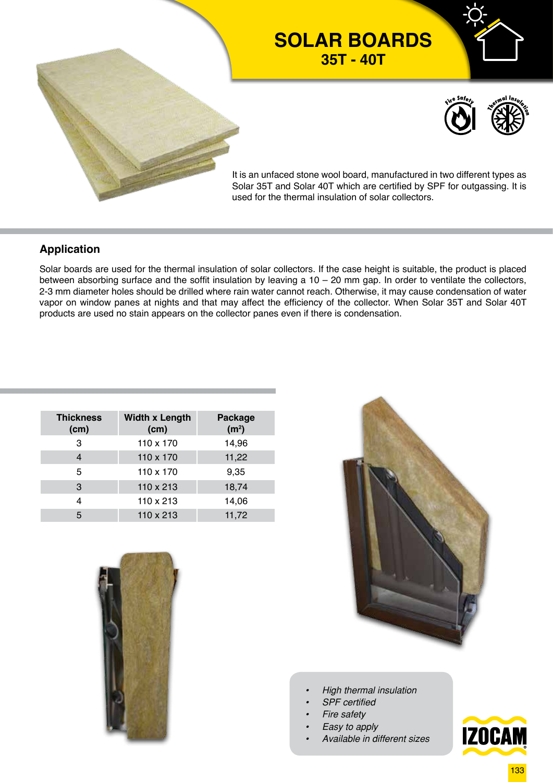

## **SOLAR BOARDS 35T - 40T**



It is an unfaced stone wool board, manufactured in two different types as Solar 35T and Solar 40T which are certified by SPF for outgassing. It is used for the thermal insulation of solar collectors.

### **Application**

Solar boards are used for the thermal insulation of solar collectors. If the case height is suitable, the product is placed between absorbing surface and the soffit insulation by leaving a  $10 - 20$  mm gap. In order to ventilate the collectors, 2-3 mm diameter holes should be drilled where rain water cannot reach. Otherwise, it may cause condensation of water vapor on window panes at nights and that may affect the efficiency of the collector. When Solar 35T and Solar 40T products are used no stain appears on the collector panes even if there is condensation.

| <b>Thickness</b><br>(cm) | <b>Width x Length</b><br>(cm) | Package<br>(m <sup>2</sup> ) |
|--------------------------|-------------------------------|------------------------------|
| 3                        | 110 x 170                     | 14,96                        |
| 4                        | 110 x 170                     | 11,22                        |
| 5                        | 110 x 170                     | 9,35                         |
| 3                        | 110 x 213                     | 18,74                        |
| 4                        | 110 x 213                     | 14,06                        |
| 5                        | $110 \times 213$              | 11,72                        |
|                          |                               |                              |





- *• High thermal insulation*
- *• SPF certified*
- *• Fire safety*
- *• Easy to apply*
- *• Available in different sizes*